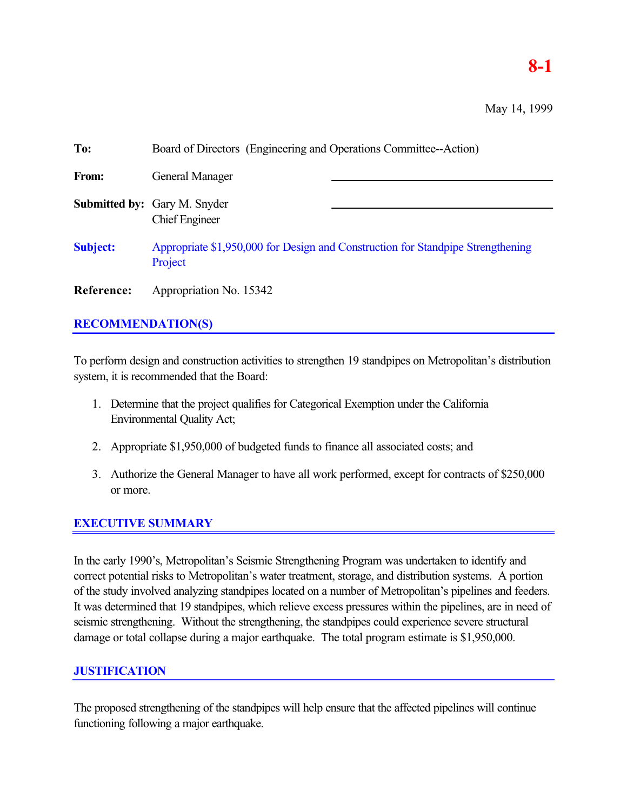# **8-1**

May 14, 1999

| To:             | Board of Directors (Engineering and Operations Committee--Action)                          |  |  |
|-----------------|--------------------------------------------------------------------------------------------|--|--|
| From:           | <b>General Manager</b>                                                                     |  |  |
|                 | <b>Submitted by:</b> Gary M. Snyder<br><b>Chief Engineer</b>                               |  |  |
| <b>Subject:</b> | Appropriate \$1,950,000 for Design and Construction for Standpipe Strengthening<br>Project |  |  |
| Reference:      | Appropriation No. 15342                                                                    |  |  |

## **RECOMMENDATION(S)**

To perform design and construction activities to strengthen 19 standpipes on Metropolitan's distribution system, it is recommended that the Board:

- 1. Determine that the project qualifies for Categorical Exemption under the California Environmental Quality Act;
- 2. Appropriate \$1,950,000 of budgeted funds to finance all associated costs; and
- 3. Authorize the General Manager to have all work performed, except for contracts of \$250,000 or more.

# **EXECUTIVE SUMMARY**

In the early 1990's, Metropolitan's Seismic Strengthening Program was undertaken to identify and correct potential risks to Metropolitan's water treatment, storage, and distribution systems. A portion of the study involved analyzing standpipes located on a number of Metropolitan's pipelines and feeders. It was determined that 19 standpipes, which relieve excess pressures within the pipelines, are in need of seismic strengthening. Without the strengthening, the standpipes could experience severe structural damage or total collapse during a major earthquake. The total program estimate is \$1,950,000.

### **JUSTIFICATION**

The proposed strengthening of the standpipes will help ensure that the affected pipelines will continue functioning following a major earthquake.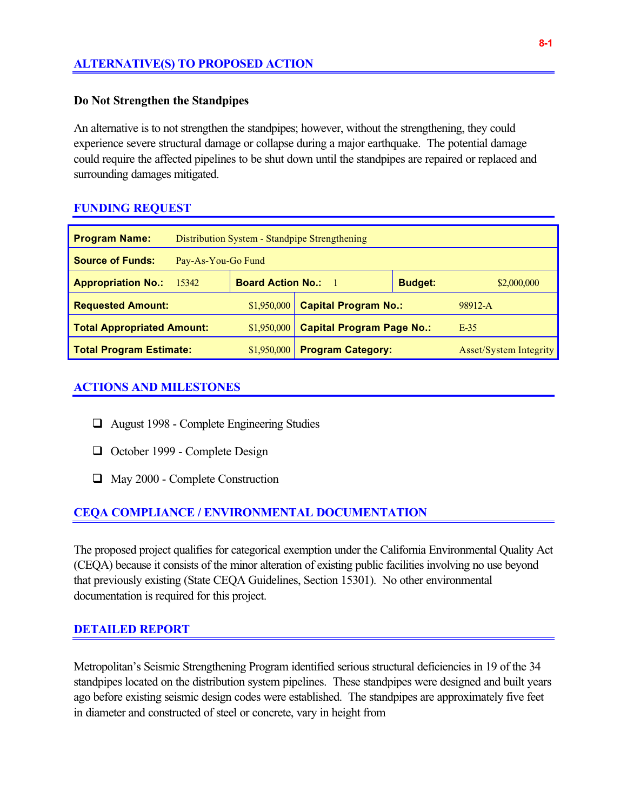### **ALTERNATIVE(S) TO PROPOSED ACTION**

#### **Do Not Strengthen the Standpipes**

An alternative is to not strengthen the standpipes; however, without the strengthening, they could experience severe structural damage or collapse during a major earthquake. The potential damage could require the affected pipelines to be shut down until the standpipes are repaired or replaced and surrounding damages mitigated.

#### **FUNDING REQUEST**

| <b>Program Name:</b>                             | Distribution System - Standpipe Strengthening |                                  |                             |                               |             |
|--------------------------------------------------|-----------------------------------------------|----------------------------------|-----------------------------|-------------------------------|-------------|
| <b>Source of Funds:</b>                          | Pay-As-You-Go Fund                            |                                  |                             |                               |             |
| <b>Appropriation No.:</b>                        | 15342                                         | <b>Board Action No.:</b>         | - 1                         | <b>Budget:</b>                | \$2,000,000 |
| <b>Requested Amount:</b>                         |                                               | \$1,950,000                      | <b>Capital Program No.:</b> |                               | 98912-A     |
| <b>Total Appropriated Amount:</b><br>\$1,950,000 |                                               | <b>Capital Program Page No.:</b> |                             | $E-35$                        |             |
| <b>Total Program Estimate:</b><br>\$1,950,000    |                                               | <b>Program Category:</b>         |                             | <b>Asset/System Integrity</b> |             |

#### **ACTIONS AND MILESTONES**

- $\Box$  August 1998 Complete Engineering Studies
- □ October 1999 Complete Design
- $\Box$  May 2000 Complete Construction

#### **CEQA COMPLIANCE / ENVIRONMENTAL DOCUMENTATION**

The proposed project qualifies for categorical exemption under the California Environmental Quality Act (CEQA) because it consists of the minor alteration of existing public facilities involving no use beyond that previously existing (State CEQA Guidelines, Section 15301). No other environmental documentation is required for this project.

#### **DETAILED REPORT**

Metropolitan's Seismic Strengthening Program identified serious structural deficiencies in 19 of the 34 standpipes located on the distribution system pipelines. These standpipes were designed and built years ago before existing seismic design codes were established. The standpipes are approximately five feet in diameter and constructed of steel or concrete, vary in height from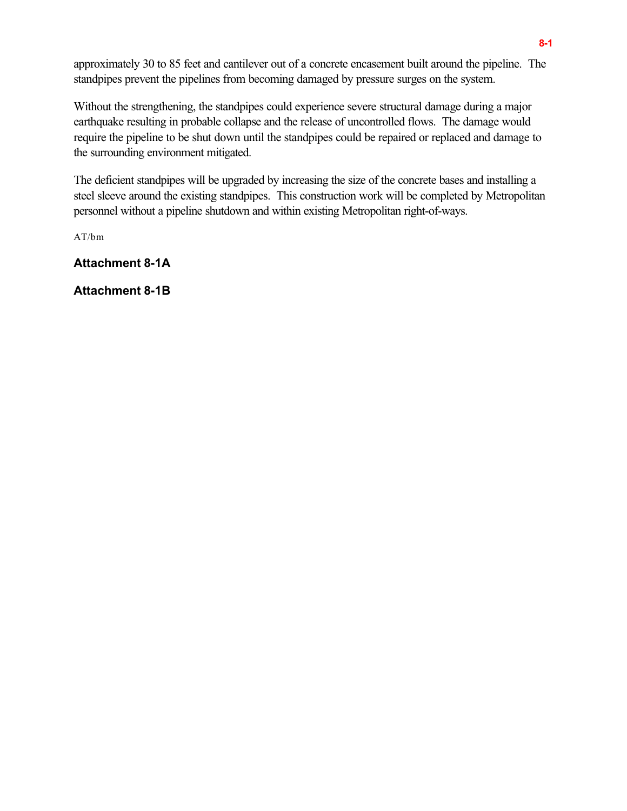approximately 30 to 85 feet and cantilever out of a concrete encasement built around the pipeline. The standpipes prevent the pipelines from becoming damaged by pressure surges on the system.

Without the strengthening, the standpipes could experience severe structural damage during a major earthquake resulting in probable collapse and the release of uncontrolled flows. The damage would require the pipeline to be shut down until the standpipes could be repaired or replaced and damage to the surrounding environment mitigated.

The deficient standpipes will be upgraded by increasing the size of the concrete bases and installing a steel sleeve around the existing standpipes. This construction work will be completed by Metropolitan personnel without a pipeline shutdown and within existing Metropolitan right-of-ways.

AT/bm

**Attachment 8-1A**

**Attachment 8-1B**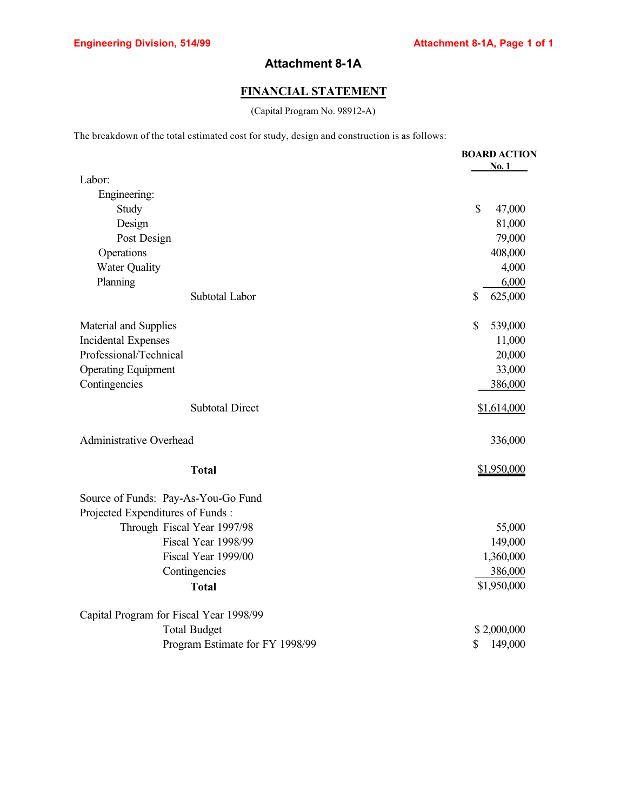# **Attachment 8-1A**

### **FINANCIAL STATEMENT**

(Capital Program No. 98912-A)

The breakdown of the total estimated cost for study, design and construction is as follows:

|                                         | <b>BOARD ACTION</b>    |
|-----------------------------------------|------------------------|
| Labor:                                  | No. 1                  |
| Engineering:                            |                        |
| Study                                   | $\mathbb{S}$<br>47,000 |
| Design                                  | 81,000                 |
| Post Design                             | 79,000                 |
| Operations                              | 408,000                |
| <b>Water Quality</b>                    | 4,000                  |
| Planning                                | 6,000                  |
| Subtotal Labor                          | 625,000<br>\$          |
| Material and Supplies                   | \$<br>539,000          |
| <b>Incidental Expenses</b>              | 11,000                 |
| Professional/Technical                  | 20,000                 |
| <b>Operating Equipment</b>              | 33,000                 |
| Contingencies                           | 386,000                |
| <b>Subtotal Direct</b>                  | \$1,614,000            |
| <b>Administrative Overhead</b>          | 336,000                |
| <b>Total</b>                            | \$1,950,000            |
| Source of Funds: Pay-As-You-Go Fund     |                        |
| Projected Expenditures of Funds:        |                        |
| Through Fiscal Year 1997/98             | 55,000                 |
| Fiscal Year 1998/99                     | 149,000                |
| Fiscal Year 1999/00                     | 1,360,000              |
| Contingencies                           | 386,000                |
| <b>Total</b>                            | \$1,950,000            |
| Capital Program for Fiscal Year 1998/99 |                        |
| <b>Total Budget</b>                     | \$2,000,000            |
| Program Estimate for FY 1998/99         | \$<br>149,000          |